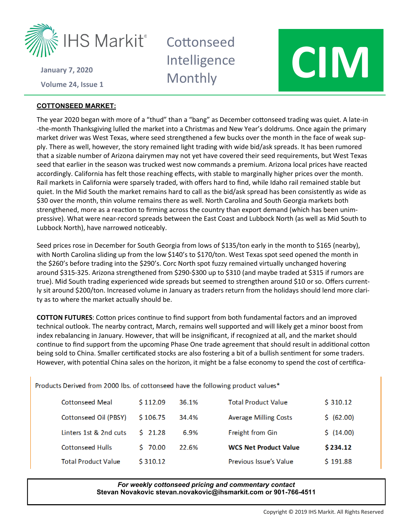

**Volume 24 January 7, 2020**

## **COTTONSEED MARKET:**

**Cottonseed** Intelligence



The year 2020 began with more of a "thud" than a "bang" as December cottonseed trading was quiet. A late-in -the-month Thanksgiving lulled the market into a Christmas and New Year's doldrums. Once again the primary market driver was West Texas, where seed strengthened a few bucks over the month in the face of weak supply. There as well, however, the story remained light trading with wide bid/ask spreads. It has been rumored that a sizable number of Arizona dairymen may not yet have covered their seed requirements, but West Texas seed that earlier in the season was trucked west now commands a premium. Arizona local prices have reacted accordingly. California has felt those reaching effects, with stable to marginally higher prices over the month. Rail markets in California were sparsely traded, with offers hard to find, while Idaho rail remained stable but quiet. In the Mid South the market remains hard to call as the bid/ask spread has been consistently as wide as \$30 over the month, thin volume remains there as well. North Carolina and South Georgia markets both strengthened, more as a reaction to firming across the country than export demand (which has been unimpressive). What were near-record spreads between the East Coast and Lubbock North (as well as Mid South to Lubbock North), have narrowed noticeably.

Seed prices rose in December for South Georgia from lows of \$135/ton early in the month to \$165 (nearby), with North Carolina sliding up from the low \$140's to \$170/ton. West Texas spot seed opened the month in the \$260's before trading into the \$290's. Corc North spot fuzzy remained virtually unchanged hovering around \$315-325. Arizona strengthened from \$290-\$300 up to \$310 (and maybe traded at \$315 if rumors are true). Mid South trading experienced wide spreads but seemed to strengthen around \$10 or so. Offers currently sit around \$200/ton. Increased volume in January as traders return from the holidays should lend more clarity as to where the market actually should be.

**COTTON FUTURES**: Cotton prices continue to find support from both fundamental factors and an improved technical outlook. The nearby contract, March, remains well supported and will likely get a minor boost from index rebalancing in January. However, that will be insignificant, if recognized at all, and the market should continue to find support from the upcoming Phase One trade agreement that should result in additional cotton being sold to China. Smaller certificated stocks are also fostering a bit of a bullish sentiment for some traders. However, with potential China sales on the horizon, it might be a false economy to spend the cost of certifica-

Products Derived from 2000 lbs. of cottonseed have the following product values\*

| <b>Cottonseed Meal</b>     | \$112.09 | 36.1% | <b>Total Product Value</b>    | \$310.12   |
|----------------------------|----------|-------|-------------------------------|------------|
| Cottonseed Oil (PBSY)      | \$106.75 | 34.4% | <b>Average Milling Costs</b>  | \$ (62.00) |
| Linters 1st & 2nd cuts     | 521.28   | 6.9%  | Freight from Gin              | \$(14.00)  |
| <b>Cottonseed Hulls</b>    | 570.00   | 22.6% | <b>WCS Net Product Value</b>  | \$234.12   |
| <b>Total Product Value</b> | \$310.12 |       | <b>Previous Issue's Value</b> | \$191.88   |

## *For weekly cottonseed pricing and commentary contact* **Stevan Novakovic stevan.novakovic@ihsmarkit.com or 901-766-4511**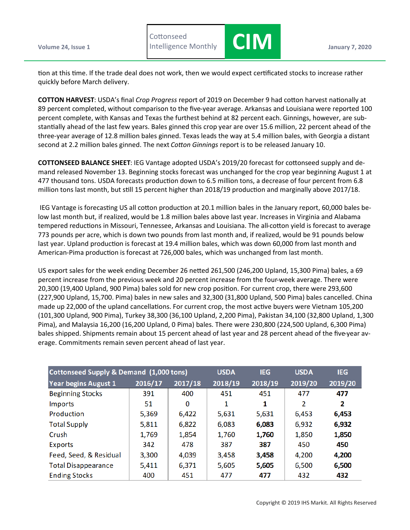**Volume 24, Issue 1 January 7, 2020 Cottonseed** 



tion at this time. If the trade deal does not work, then we would expect certificated stocks to increase rather quickly before March delivery.

**CIM** 

**COTTON HARVEST**: USDA's final *Crop Progress* report of 2019 on December 9 had cotton harvest nationally at 89 percent completed, without comparison to the five-year average. Arkansas and Louisiana were reported 100 percent complete, with Kansas and Texas the furthest behind at 82 percent each. Ginnings, however, are substantially ahead of the last few years. Bales ginned this crop year are over 15.6 million, 22 percent ahead of the three-year average of 12.8 million bales ginned. Texas leads the way at 5.4 million bales, with Georgia a distant second at 2.2 million bales ginned. The next *Cotton Ginnings* report is to be released January 10.

**COTTONSEED BALANCE SHEET**: IEG Vantage adopted USDA's 2019/20 forecast for cottonseed supply and demand released November 13. Beginning stocks forecast was unchanged for the crop year beginning August 1 at 477 thousand tons. USDA forecasts production down to 6.5 million tons, a decrease of four percent from 6.8 million tons last month, but still 15 percent higher than 2018/19 production and marginally above 2017/18.

IEG Vantage is forecasting US all cotton production at 20.1 million bales in the January report, 60,000 bales below last month but, if realized, would be 1.8 million bales above last year. Increases in Virginia and Alabama tempered reductions in Missouri, Tennessee, Arkansas and Louisiana. The all-cotton yield is forecast to average 773 pounds per acre, which is down two pounds from last month and, if realized, would be 91 pounds below last year. Upland production is forecast at 19.4 million bales, which was down 60,000 from last month and American-Pima production is forecast at 726,000 bales, which was unchanged from last month.

US export sales for the week ending December 26 netted 261,500 (246,200 Upland, 15,300 Pima) bales, a 69 percent increase from the previous week and 20 percent increase from the four-week average. There were 20,300 (19,400 Upland, 900 Pima) bales sold for new crop position. For current crop, there were 293,600 (227,900 Upland, 15,700. Pima) bales in new sales and 32,300 (31,800 Upland, 500 Pima) bales cancelled. China made up 22,000 of the upland cancellations. For current crop, the most active buyers were Vietnam 105,200 (101,300 Upland, 900 Pima), Turkey 38,300 (36,100 Upland, 2,200 Pima), Pakistan 34,100 (32,800 Upland, 1,300 Pima), and Malaysia 16,200 (16,200 Upland, 0 Pima) bales. There were 230,800 (224,500 Upland, 6,300 Pima) bales shipped. Shipments remain about 15 percent ahead of last year and 28 percent ahead of the five-year average. Commitments remain seven percent ahead of last year.

| Cottonseed Supply & Demand (1,000 tons) | <b>USDA</b> | <b>IEG</b> | <b>USDA</b> | <b>IEG</b> |         |         |
|-----------------------------------------|-------------|------------|-------------|------------|---------|---------|
| <b>Year begins August 1</b>             | 2016/17     | 2017/18    | 2018/19     | 2018/19    | 2019/20 | 2019/20 |
| <b>Beginning Stocks</b>                 | 391         | 400        | 451         | 451        | 477     | 477     |
| <b>Imports</b>                          | 51          | 0          | 1           | 1          | 2       | 2       |
| Production                              | 5,369       | 6,422      | 5,631       | 5,631      | 6,453   | 6,453   |
| <b>Total Supply</b>                     | 5,811       | 6,822      | 6,083       | 6,083      | 6,932   | 6,932   |
| Crush                                   | 1,769       | 1,854      | 1,760       | 1,760      | 1,850   | 1,850   |
| Exports                                 | 342         | 478        | 387         | 387        | 450     | 450     |
| Feed, Seed, & Residual                  | 3,300       | 4,039      | 3,458       | 3,458      | 4,200   | 4,200   |
| <b>Total Disappearance</b>              | 5,411       | 6,371      | 5,605       | 5,605      | 6,500   | 6,500   |
| <b>Ending Stocks</b>                    | 400         | 451        | 477         | 477        | 432     | 432     |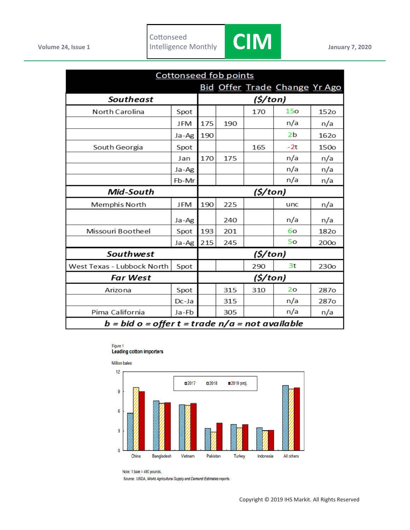

| <b>Cottonseed fob points</b>                      |          |          |          |     |                                      |                  |  |
|---------------------------------------------------|----------|----------|----------|-----|--------------------------------------|------------------|--|
|                                                   |          |          |          |     | <b>Bid Offer Trade Change Yr Ago</b> |                  |  |
| <b>Southeast</b>                                  | (\$/ton) |          |          |     |                                      |                  |  |
| North Carolina                                    | Spot     |          |          | 170 | 15 <sub>o</sub>                      | 152o             |  |
|                                                   | JFM      | 175      | 190      |     | n/a                                  | n/a              |  |
|                                                   | Ja-Ag    | 190      |          |     | 2b                                   | <b>1620</b>      |  |
| South Georgia                                     | Spot     |          |          | 165 | $-2t$                                | 150o             |  |
|                                                   | Jan      | 170      | 175      |     | n/a                                  | n/a              |  |
|                                                   | Ja-Ag    |          |          |     | n/a                                  | n/a              |  |
|                                                   | Fb-Mr    |          |          |     | n/a                                  | n/a              |  |
| Mid-South                                         |          |          | (5/ton)  |     |                                      |                  |  |
| Memphis North                                     | JFM      | 190      | 225      |     | unc                                  | n/a              |  |
|                                                   | Ja-Ag    |          | 240      |     | n/a                                  | n/a              |  |
| Missouri Bootheel                                 | Spot     | 193      | 201      |     | 60                                   | 182 <sub>o</sub> |  |
|                                                   | Ja-Ag    | 215      | 245      |     | 50                                   | 200 <sub>o</sub> |  |
| Southwest                                         |          | (\$/ton) |          |     |                                      |                  |  |
| West Texas - Lubbock North                        | Spot     |          |          | 290 | 3t                                   | 230 <sub>o</sub> |  |
| <b>Far West</b>                                   |          |          | (\$/ton) |     |                                      |                  |  |
| Arizona                                           | Spot     |          | 315      | 310 | 2 <sub>o</sub>                       | 287o             |  |
|                                                   | Dc-Ja    |          | 315      |     | n/a                                  | 287 <sub>o</sub> |  |
| Pima California                                   | Ja-Fb    |          | 305      |     | n/a                                  | n/a              |  |
| $b = bid o = offer t = trade n/a = not available$ |          |          |          |     |                                      |                  |  |

## Figure 1 **Leading cotton importers**



Note: 1 bale = 480 pounds.

Source: USDA, World Agricultural Supply and Demand Estimates reports.